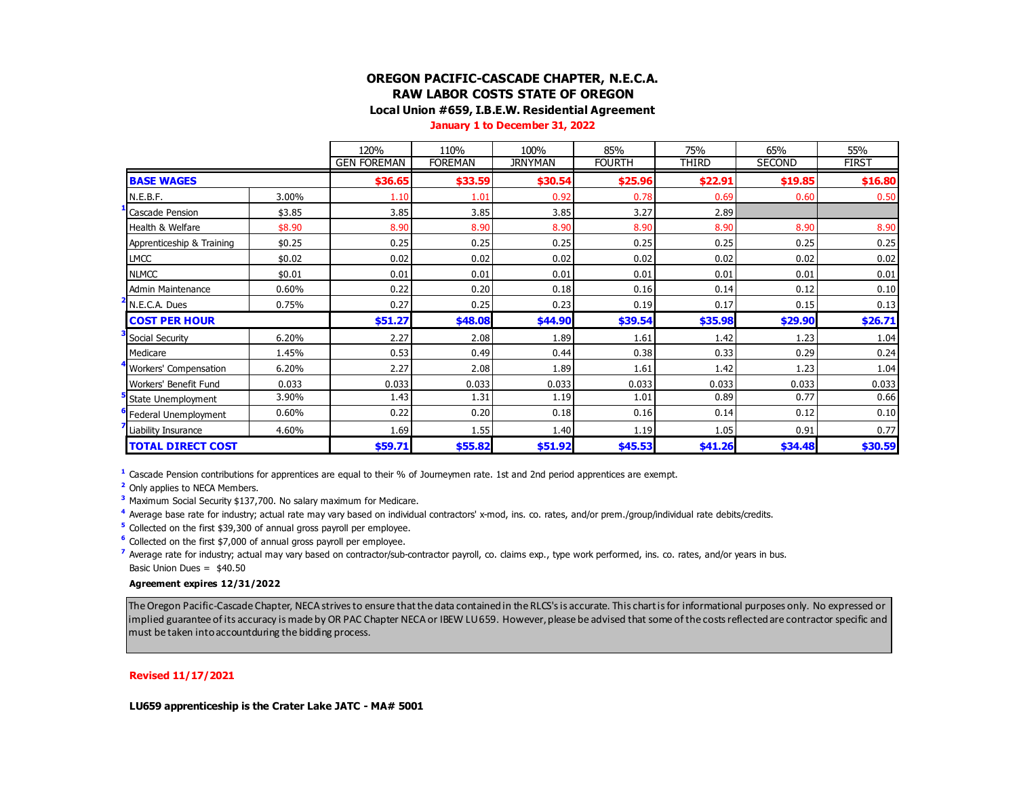# **OREGON PACIFIC-CASCADE CHAPTER, N.E.C.A. RAW LABOR COSTS STATE OF OREGON**

**Local Union #659, I.B.E.W. Residential Agreement**

**January 1 to December 31, 2022**

|                           |        | 120%               | 110%           | 100%           | 85%           | 75%     | 65%     | 55%          |
|---------------------------|--------|--------------------|----------------|----------------|---------------|---------|---------|--------------|
|                           |        | <b>GEN FOREMAN</b> | <b>FOREMAN</b> | <b>JRNYMAN</b> | <b>FOURTH</b> | THIRD   | SECOND  | <b>FIRST</b> |
| <b>BASE WAGES</b>         |        | \$36.65            | \$33.59        | \$30.54        | \$25.96       | \$22.91 | \$19.85 | \$16.80      |
| N.E.B.F.                  | 3.00%  | 1.10               | 1.01           | 0.92           | 0.78          | 0.69    | 0.60    | 0.50         |
| Cascade Pension           | \$3.85 | 3.85               | 3.85           | 3.85           | 3.27          | 2.89    |         |              |
| Health & Welfare          | \$8.90 | 8.90               | 8.90           | 8.90           | 8.90          | 8.90    | 8.90    | 8.90         |
| Apprenticeship & Training | \$0.25 | 0.25               | 0.25           | 0.25           | 0.25          | 0.25    | 0.25    | 0.25         |
| <b>LMCC</b>               | \$0.02 | 0.02               | 0.02           | 0.02           | 0.02          | 0.02    | 0.02    | 0.02         |
| <b>NLMCC</b>              | \$0.01 | 0.01               | 0.01           | 0.01           | 0.01          | 0.01    | 0.01    | 0.01         |
| <b>Admin Maintenance</b>  | 0.60%  | 0.22               | 0.20           | 0.18           | 0.16          | 0.14    | 0.12    | 0.10         |
| N.E.C.A. Dues             | 0.75%  | 0.27               | 0.25           | 0.23           | 0.19          | 0.17    | 0.15    | 0.13         |
| <b>COST PER HOUR</b>      |        | \$51.27            | \$48.08        | \$44.90        | \$39.54       | \$35.98 | \$29.90 | \$26.71      |
| Social Security           | 6.20%  | 2.27               | 2.08           | 1.89           | 1.61          | 1.42    | 1.23    | 1.04         |
| Medicare                  | 1.45%  | 0.53               | 0.49           | 0.44           | 0.38          | 0.33    | 0.29    | 0.24         |
| Workers' Compensation     | 6.20%  | 2.27               | 2.08           | 1.89           | 1.61          | 1.42    | 1.23    | 1.04         |
| Workers' Benefit Fund     | 0.033  | 0.033              | 0.033          | 0.033          | 0.033         | 0.033   | 0.033   | 0.033        |
| State Unemployment        | 3.90%  | 1.43               | 1.31           | 1.19           | 1.01          | 0.89    | 0.77    | 0.66         |
| Federal Unemployment      | 0.60%  | 0.22               | 0.20           | 0.18           | 0.16          | 0.14    | 0.12    | 0.10         |
| Liability Insurance       | 4.60%  | 1.69               | 1.55           | 1.40           | 1.19          | 1.05    | 0.91    | 0.77         |
| <b>TOTAL DIRECT COST</b>  |        | \$59.71            | \$55.82        | \$51.92        | \$45.53       | \$41.26 | \$34.48 | \$30.59      |

**<sup>1</sup>** Cascade Pension contributions for apprentices are equal to their % of Journeymen rate. 1st and 2nd period apprentices are exempt.

**<sup>2</sup>** Only applies to NECA Members.

**<sup>3</sup>** Maximum Social Security \$137,700. No salary maximum for Medicare.

**<sup>4</sup>** Average base rate for industry; actual rate may vary based on individual contractors' x-mod, ins. co. rates, and/or prem./group/individual rate debits/credits.

**<sup>5</sup>** Collected on the first \$39,300 of annual gross payroll per employee.

**<sup>6</sup>** Collected on the first \$7,000 of annual gross payroll per employee.

**<sup>7</sup>** Average rate for industry; actual may vary based on contractor/sub-contractor payroll, co. claims exp., type work performed, ins. co. rates, and/or years in bus. Basic Union Dues = \$40.50

### **Agreement expires 12/31/2022**

The Oregon Pacific-Cascade Chapter, NECA strives to ensure that the data contained in the RLCS's is accurate. This chart is for informational purposes only. No expressed or implied guarantee of its accuracy is made by OR PAC Chapter NECA or IBEW LU 659. However, please be advised that some of the costs reflected are contractor specific and must be taken into accountduring the bidding process.

#### **Revised 11/17/2021**

**LU659 apprenticeship is the Crater Lake JATC - MA# 5001**